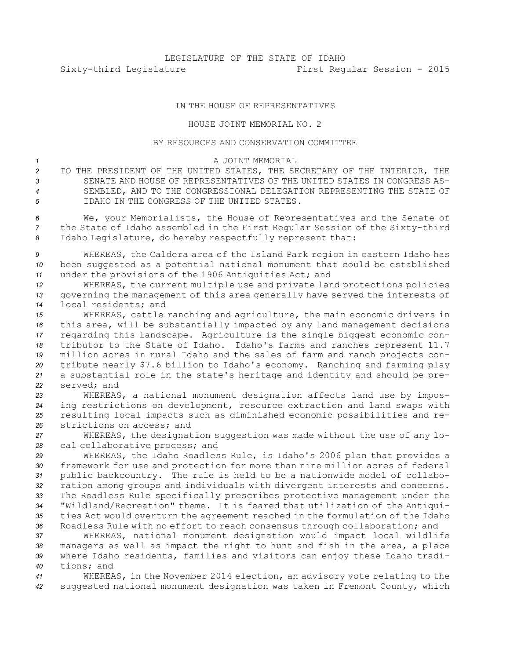## IN THE HOUSE OF REPRESENTATIVES

## HOUSE JOINT MEMORIAL NO. 2

## BY RESOURCES AND CONSERVATION COMMITTEE

## *1* A JOINT MEMORIAL

 TO THE PRESIDENT OF THE UNITED STATES, THE SECRETARY OF THE INTERIOR, THE SENATE AND HOUSE OF REPRESENTATIVES OF THE UNITED STATES IN CONGRESS AS- SEMBLED, AND TO THE CONGRESSIONAL DELEGATION REPRESENTING THE STATE OF IDAHO IN THE CONGRESS OF THE UNITED STATES.

*<sup>6</sup>* We, your Memorialists, the House of Representatives and the Senate of *<sup>7</sup>* the State of Idaho assembled in the First Regular Session of the Sixty-third *<sup>8</sup>* Idaho Legislature, do hereby respectfully represent that:

*<sup>9</sup>* WHEREAS, the Caldera area of the Island Park region in eastern Idaho has *<sup>10</sup>* been suggested as <sup>a</sup> potential national monument that could be established *<sup>11</sup>* under the provisions of the 1906 Antiquities Act; and

*<sup>12</sup>* WHEREAS, the current multiple use and private land protections policies *<sup>13</sup>* governing the management of this area generally have served the interests of *14* local residents; and

 WHEREAS, cattle ranching and agriculture, the main economic drivers in this area, will be substantially impacted by any land management decisions regarding this landscape. Agriculture is the single biggest economic con- tributor to the State of Idaho. Idaho's farms and ranches represent 11.7 million acres in rural Idaho and the sales of farm and ranch projects con- tribute nearly \$7.6 billion to Idaho's economy. Ranching and farming play <sup>a</sup> substantial role in the state's heritage and identity and should be pre-served; and

 WHEREAS, <sup>a</sup> national monument designation affects land use by impos- ing restrictions on development, resource extraction and land swaps with resulting local impacts such as diminished economic possibilities and re-strictions on access; and

*<sup>27</sup>* WHEREAS, the designation suggestion was made without the use of any lo-*<sup>28</sup>* cal collaborative process; and

 WHEREAS, the Idaho Roadless Rule, is Idaho's 2006 plan that provides <sup>a</sup> framework for use and protection for more than nine million acres of federal public backcountry. The rule is held to be <sup>a</sup> nationwide model of collabo- ration among groups and individuals with divergent interests and concerns. The Roadless Rule specifically prescribes protective management under the "Wildland/Recreation" theme. It is feared that utilization of the Antiqui- ties Act would overturn the agreement reached in the formulation of the Idaho Roadless Rule with no effort to reach consensus through collaboration; and

 WHEREAS, national monument designation would impact local wildlife managers as well as impact the right to hunt and fish in the area, <sup>a</sup> place where Idaho residents, families and visitors can enjoy these Idaho tradi-tions; and

*<sup>41</sup>* WHEREAS, in the November 2014 election, an advisory vote relating to the *<sup>42</sup>* suggested national monument designation was taken in Fremont County, which